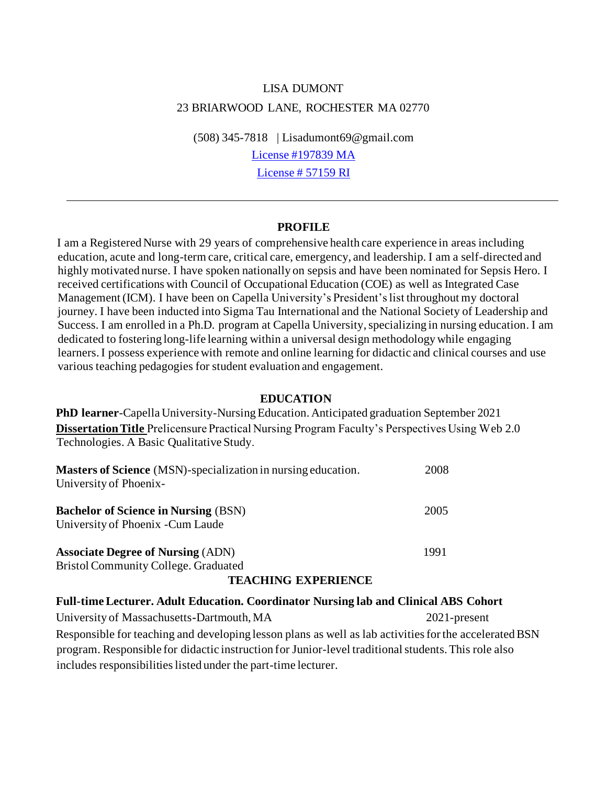# LISA DUMONT 23 BRIARWOOD LANE, ROCHESTER MA 02770

(508) 345-7818 | Lisadumont69@gmail.com License #197839 MA

License # 57159 RI

#### **PROFILE**

I am a Registered Nurse with 29 years of comprehensive health care experience in areas including education, acute and long-term care, critical care, emergency, and leadership. I am a self-directed and highly motivated nurse. I have spoken nationally on sepsis and have been nominated for Sepsis Hero. I received certifications with Council of Occupational Education (COE) as well as Integrated Case Management (ICM). I have been on Capella University's President's list throughout my doctoral journey. I have been inducted into Sigma Tau International and the National Society of Leadership and Success. I am enrolled in a Ph.D. program at Capella University, specializing in nursing education. I am dedicated to fostering long-life learning within a universal design methodology while engaging learners. I possess experience with remote and online learning for didactic and clinical courses and use various teaching pedagogies for student evaluation and engagement.

#### **EDUCATION**

**PhD learner**-Capella University-Nursing Education. Anticipated graduation September 2021 **Dissertation Title** Prelicensure Practical Nursing Program Faculty's Perspectives Using Web 2.0 Technologies. A Basic Qualitative Study.

| <b>Masters of Science</b> (MSN)-specialization in nursing education.<br>University of Phoenix- | 2008 |
|------------------------------------------------------------------------------------------------|------|
| <b>Bachelor of Science in Nursing (BSN)</b><br>University of Phoenix - Cum Laude               | 2005 |
| <b>Associate Degree of Nursing (ADN)</b><br><b>Bristol Community College. Graduated</b>        | 1991 |

#### **TEACHING EXPERIENCE**

## **Full-time Lecturer. Adult Education. Coordinator Nursing lab and Clinical ABS Cohort**

University of Massachusetts**-**Dartmouth, MA 2021-present Responsible for teaching and developing lesson plans as well as lab activities for the accelerated BSN program. Responsible for didactic instruction for Junior-level traditional students. This role also includes responsibilities listed under the part-time lecturer.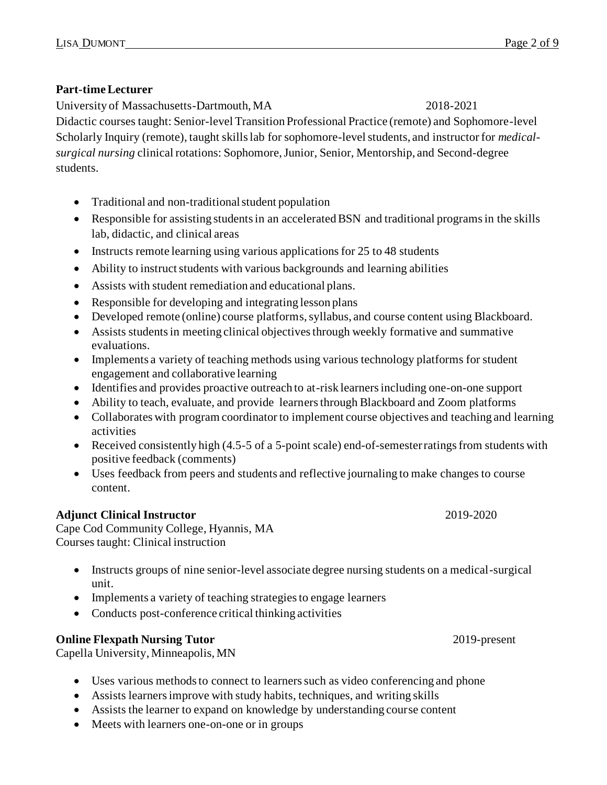# **Part-time Lecturer**

University of Massachusetts-Dartmouth, MA 2018-2021

Didactic courses taught: Senior-level Transition Professional Practice (remote) and Sophomore-level Scholarly Inquiry (remote), taught skills lab for sophomore-level students, and instructor for *medicalsurgical nursing* clinical rotations: Sophomore, Junior, Senior, Mentorship, and Second-degree students.

- Traditional and non-traditional student population
- Responsible for assisting students in an accelerated BSN and traditional programs in the skills lab, didactic, and clinical areas
- Instructs remote learning using various applications for  $25$  to 48 students
- Ability to instruct students with various backgrounds and learning abilities
- Assists with student remediation and educational plans.
- Responsible for developing and integrating lesson plans
- Developed remote (online) course platforms, syllabus, and course content using Blackboard.
- Assists students in meeting clinical objectives through weekly formative and summative evaluations.
- Implements a variety of teaching methods using various technology platforms for student engagement and collaborative learning
- Identifies and provides proactive outreach to at-risk learners including one-on-one support
- Ability to teach, evaluate, and provide learners through Blackboard and Zoom platforms
- Collaborates with program coordinator to implement course objectives and teaching and learning activities
- Received consistently high (4.5-5 of a 5-point scale) end-of-semester ratings from students with positive feedback (comments)
- Uses feedback from peers and students and reflective journaling to make changes to course content.

# **Adjunct Clinical Instructor** 2019-2020

Cape Cod Community College, Hyannis, MA Courses taught: Clinical instruction

- Instructs groups of nine senior-level associate degree nursing students on a medical-surgical unit.
- Implements a variety of teaching strategies to engage learners
- Conducts post-conference critical thinking activities

# **Online Flexpath Nursing Tutor** 2019-present

Capella University, Minneapolis, MN

- Uses various methods to connect to learners such as video conferencing and phone
- Assists learners improve with study habits, techniques, and writing skills
- Assists the learner to expand on knowledge by understanding course content
- Meets with learners one-on-one or in groups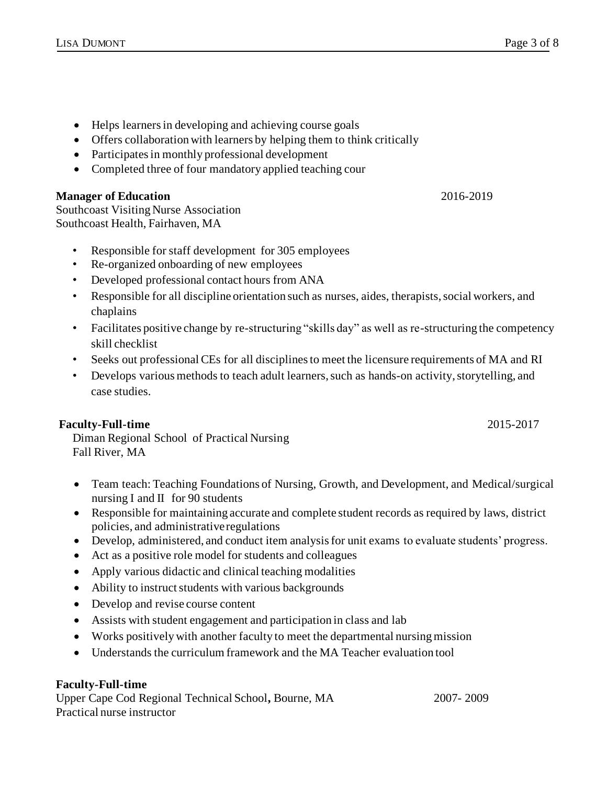- Helps learners in developing and achieving course goals
- Offers collaboration with learners by helping them to think critically
- Participates in monthly professional development
- Completed three of four mandatory applied teaching cour

## **Manager of Education** 2016-2019

Southcoast Visiting Nurse Association Southcoast Health, Fairhaven, MA

- Responsible for staff development for 305 employees
- Re-organized onboarding of new employees
- Developed professional contact hours from ANA
- Responsible for all discipline orientation such as nurses, aides, therapists, social workers, and chaplains
- Facilitates positive change by re-structuring "skills day" as well as re-structuring the competency skill checklist
- Seeks out professional CEs for all disciplines to meet the licensure requirements of MA and RI
- Develops various methods to teach adult learners, such as hands-on activity, storytelling, and case studies.

## **Faculty-Full-time** 2015-2017

Diman Regional School of Practical Nursing Fall River, MA

- Team teach: Teaching Foundations of Nursing, Growth, and Development, and Medical/surgical nursing I and II for 90 students
- Responsible for maintaining accurate and complete student records as required by laws, district policies, and administrative regulations
- Develop, administered, and conduct item analysis for unit exams to evaluate students' progress.
- Act as a positive role model for students and colleagues
- Apply various didactic and clinical teaching modalities
- Ability to instruct students with various backgrounds
- Develop and revise course content
- Assists with student engagement and participation in class and lab
- Works positively with another faculty to meet the departmental nursing mission
- Understands the curriculum framework and the MA Teacher evaluation tool

#### **Faculty-Full-time**

Upper Cape Cod Regional Technical School**,** Bourne, MA 2007- 2009 Practical nurse instructor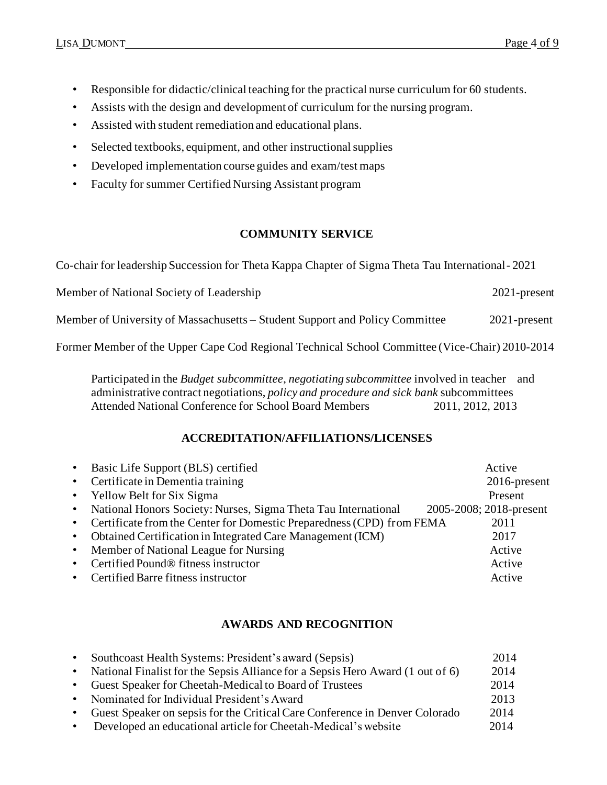- Responsible for didactic/clinical teaching for the practical nurse curriculum for 60 students.
- Assists with the design and development of curriculum for the nursing program.
- Assisted with student remediation and educational plans.
- Selected textbooks, equipment, and other instructional supplies
- Developed implementation course guides and exam/test maps
- Faculty for summer Certified Nursing Assistant program

## **COMMUNITY SERVICE**

Co-chair for leadership Succession for Theta Kappa Chapter of Sigma Theta Tau International- 2021

Member of National Society of Leadership 2021-present

Member of University of Massachusetts – Student Support and Policy Committee 2021-present

Former Member of the Upper Cape Cod Regional Technical School Committee (Vice-Chair) 2010-2014

Participated in the *Budget subcommittee*, *negotiating subcommittee* involved in teacher and administrative contract negotiations, *policy and procedure and sick bank* subcommittees Attended National Conference for School Board Members 2011, 2012, 2013

## **ACCREDITATION/AFFILIATIONS/LICENSES**

|           | • Basic Life Support (BLS) certified                                    | Active                  |
|-----------|-------------------------------------------------------------------------|-------------------------|
|           | • Certificate in Dementia training                                      | $2016$ -present         |
|           | • Yellow Belt for Six Sigma                                             | Present                 |
| $\bullet$ | National Honors Society: Nurses, Sigma Theta Tau International          | 2005-2008; 2018-present |
|           | • Certificate from the Center for Domestic Preparedness (CPD) from FEMA | 2011                    |
| $\bullet$ | Obtained Certification in Integrated Care Management (ICM)              | 2017                    |
| $\bullet$ | Member of National League for Nursing                                   | Active                  |
| $\bullet$ | Certified Pound® fitness instructor                                     | Active                  |
|           | • Certified Barre fitness instructor                                    | Active                  |

## **AWARDS AND RECOGNITION**

| $\bullet$ | Southcoast Health Systems: President's award (Sepsis)                            | 2014 |
|-----------|----------------------------------------------------------------------------------|------|
|           | • National Finalist for the Sepsis Alliance for a Sepsis Hero Award (1 out of 6) | 2014 |
| $\bullet$ | Guest Speaker for Cheetah-Medical to Board of Trustees                           | 2014 |
|           | • Nominated for Individual President's Award                                     | 2013 |
| $\bullet$ | Guest Speaker on sepsis for the Critical Care Conference in Denver Colorado      | 2014 |
|           | Developed an educational article for Cheetah-Medical's website                   | 2014 |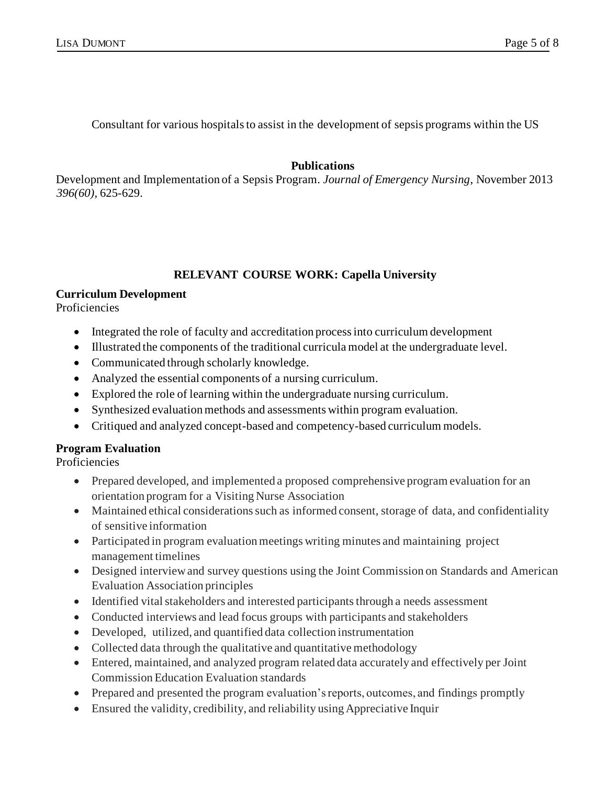Consultant for various hospitals to assist in the development of sepsis programs within the US

#### **Publications**

Development and Implementation of a Sepsis Program. *Journal of Emergency Nursing*, November 2013 *396(60),* 625-629.

## **RELEVANT COURSE WORK: Capella University**

#### **Curriculum Development**

Proficiencies

- Integrated the role of faculty and accreditation process into curriculum development
- Illustrated the components of the traditional curricula model at the undergraduate level.
- Communicated through scholarly knowledge.
- Analyzed the essential components of a nursing curriculum.
- Explored the role of learning within the undergraduate nursing curriculum.
- Synthesized evaluation methods and assessments within program evaluation.
- Critiqued and analyzed concept-based and competency-based curriculum models.

## **Program Evaluation**

**Proficiencies** 

- Prepared developed, and implemented a proposed comprehensive program evaluation for an orientation program for a Visiting Nurse Association
- Maintained ethical considerations such as informed consent, storage of data, and confidentiality of sensitive information
- Participated in program evaluation meetings writing minutes and maintaining project management timelines
- Designed interview and survey questions using the Joint Commission on Standards and American Evaluation Association principles
- Identified vital stakeholders and interested participants through a needs assessment
- Conducted interviews and lead focus groups with participants and stakeholders
- Developed, utilized, and quantified data collection instrumentation
- Collected data through the qualitative and quantitative methodology
- Entered, maintained, and analyzed program related data accurately and effectively per Joint Commission Education Evaluation standards
- Prepared and presented the program evaluation's reports, outcomes, and findings promptly
- Ensured the validity, credibility, and reliability using Appreciative Inquir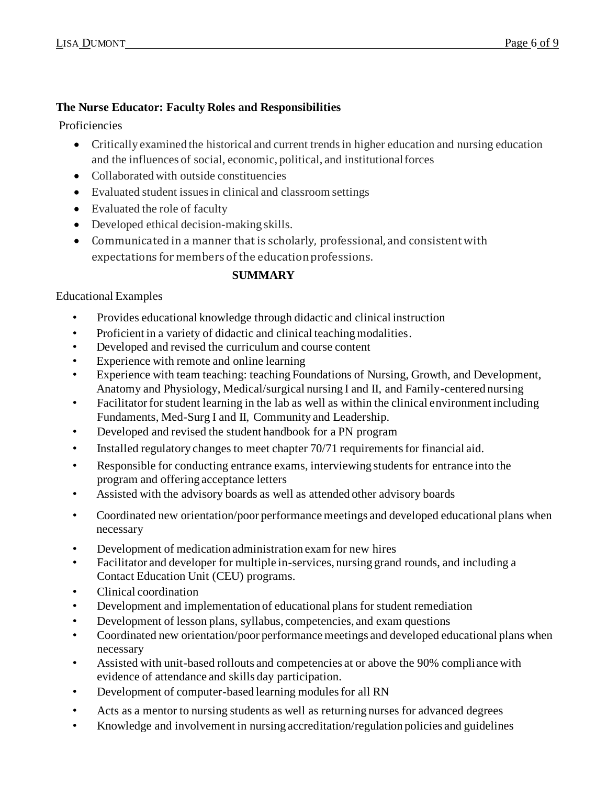# **The Nurse Educator: Faculty Roles and Responsibilities**

Proficiencies

- Critically examined the historical and current trends in higher education and nursing education and the influences of social, economic, political, and institutional forces
- Collaborated with outside constituencies
- Evaluated student issues in clinical and classroom settings
- Evaluated the role of faculty
- Developed ethical decision-making skills.
- Communicated in a manner that is scholarly, professional, and consistent with expectations for members of the education professions.

# **SUMMARY**

# Educational Examples

- Provides educational knowledge through didactic and clinical instruction
- Proficient in a variety of didactic and clinical teaching modalities.
- Developed and revised the curriculum and course content
- Experience with remote and online learning
- Experience with team teaching: teaching Foundations of Nursing, Growth, and Development, Anatomy and Physiology, Medical/surgical nursing I and II, and Family-centered nursing
- Facilitator for student learning in the lab as well as within the clinical environment including Fundaments, Med-Surg I and II, Community and Leadership.
- Developed and revised the student handbook for a PN program
- Installed regulatory changes to meet chapter 70/71 requirements for financial aid.
- Responsible for conducting entrance exams, interviewing students for entrance into the program and offering acceptance letters
- Assisted with the advisory boards as well as attended other advisory boards
- Coordinated new orientation/poor performance meetings and developed educational plans when necessary
- Development of medication administration exam for new hires
- Facilitator and developer for multiple in-services, nursing grand rounds, and including a Contact Education Unit (CEU) programs.
- Clinical coordination
- Development and implementation of educational plans for student remediation
- Development of lesson plans, syllabus, competencies, and exam questions
- Coordinated new orientation/poor performance meetings and developed educational plans when necessary
- Assisted with unit-based rollouts and competencies at or above the 90% compliance with evidence of attendance and skills day participation.
- Development of computer-based learning modules for all RN
- Acts as a mentor to nursing students as well as returning nurses for advanced degrees
- Knowledge and involvement in nursing accreditation/regulation policies and guidelines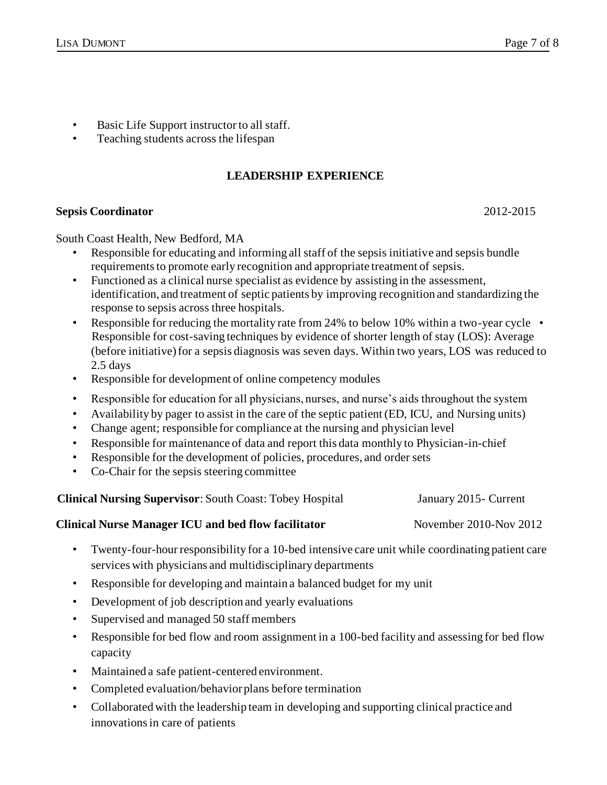- Basic Life Support instructor to all staff.
- Teaching students across the lifespan

#### **LEADERSHIP EXPERIENCE**

#### **Sepsis Coordinator** 2012-2015

South Coast Health, New Bedford, MA

- Responsible for educating and informing all staff of the sepsis initiative and sepsis bundle requirements to promote early recognition and appropriate treatment of sepsis.
- Functioned as a clinical nurse specialist as evidence by assisting in the assessment, identification, and treatment of septic patients by improving recognition and standardizing the response to sepsis across three hospitals.
- Responsible for reducing the mortality rate from 24% to below 10% within a two-year cycle Responsible for cost-saving techniques by evidence of shorter length of stay (LOS): Average (before initiative) for a sepsis diagnosis was seven days. Within two years, LOS was reduced to 2.5 days
- Responsible for development of online competency modules
- Responsible for education for all physicians, nurses, and nurse's aids throughout the system
- Availability by pager to assist in the care of the septic patient (ED, ICU, and Nursing units)
- Change agent; responsible for compliance at the nursing and physician level
- Responsible for maintenance of data and report this data monthly to Physician-in-chief
- Responsible for the development of policies, procedures, and order sets
- Co-Chair for the sepsis steering committee

**Clinical Nursing Supervisor**: South Coast: Tobey Hospital January 2015- Current

# **Clinical Nurse Manager ICU and bed flow facilitator** November 2010-Nov 2012

- Twenty-four-hour responsibility for a 10-bed intensive care unit while coordinating patient care services with physicians and multidisciplinary departments
- Responsible for developing and maintain a balanced budget for my unit
- Development of job description and yearly evaluations
- Supervised and managed 50 staff members
- Responsible for bed flow and room assignment in a 100-bed facility and assessing for bed flow capacity
- Maintained a safe patient-centered environment.
- Completed evaluation/behavior plans before termination
- Collaborated with the leadership team in developing and supporting clinical practice and innovations in care of patients